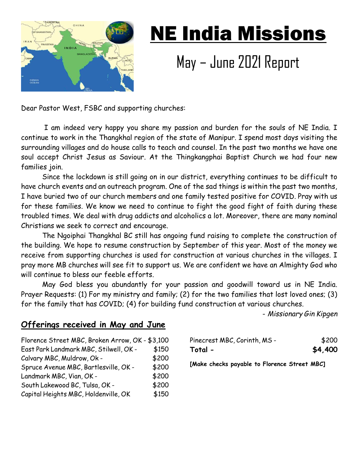

## NE India Missions

## May – June 2021 Report

Dear Pastor West, FSBC and supporting churches:

 I am indeed very happy you share my passion and burden for the souls of NE India. I continue to work in the Thangkhal region of the state of Manipur. I spend most days visiting the surrounding villages and do house calls to teach and counsel. In the past two months we have one soul accept Christ Jesus as Saviour. At the Thingkangphai Baptist Church we had four new families join.

Since the lockdown is still going on in our district, everything continues to be difficult to have church events and an outreach program. One of the sad things is within the past two months, I have buried two of our church members and one family tested positive for COVID. Pray with us for these families. We know we need to continue to fight the good fight of faith during these troubled times. We deal with drug addicts and alcoholics a lot. Moreover, there are many nominal Christians we seek to correct and encourage.

The Ngoiphai Thangkhal BC still has ongoing fund raising to complete the construction of the building. We hope to resume construction by September of this year. Most of the money we receive from supporting churches is used for construction at various churches in the villages. I pray more MB churches will see fit to support us. We are confident we have an Almighty God who will continue to bless our feeble efforts.

May God bless you abundantly for your passion and goodwill toward us in NE India. Prayer Requests: (1) For my ministry and family; (2) for the two families that lost loved ones; (3) for the family that has COVID; (4) for building fund construction at various churches.

- Missionary Gin Kipgen

## Offerings received in May and June

| Florence Street MBC, Broken Arrow, OK - \$3,100 |       |
|-------------------------------------------------|-------|
| East Park Landmark MBC, Stilwell, OK -          | \$150 |
| Calvary MBC, Muldrow, Ok -                      | \$200 |
| Spruce Avenue MBC, Bartlesville, OK -           | \$200 |
| Landmark MBC, Vian, OK -                        | \$200 |
| South Lakewood BC, Tulsa, OK -                  | \$200 |
| Capital Heights MBC, Holdenville, OK            | \$150 |

| Pinecrest MBC, Corinth, MS - | \$200   |
|------------------------------|---------|
| Total -                      | \$4,400 |

[Make checks payable to Florence Street MBC]